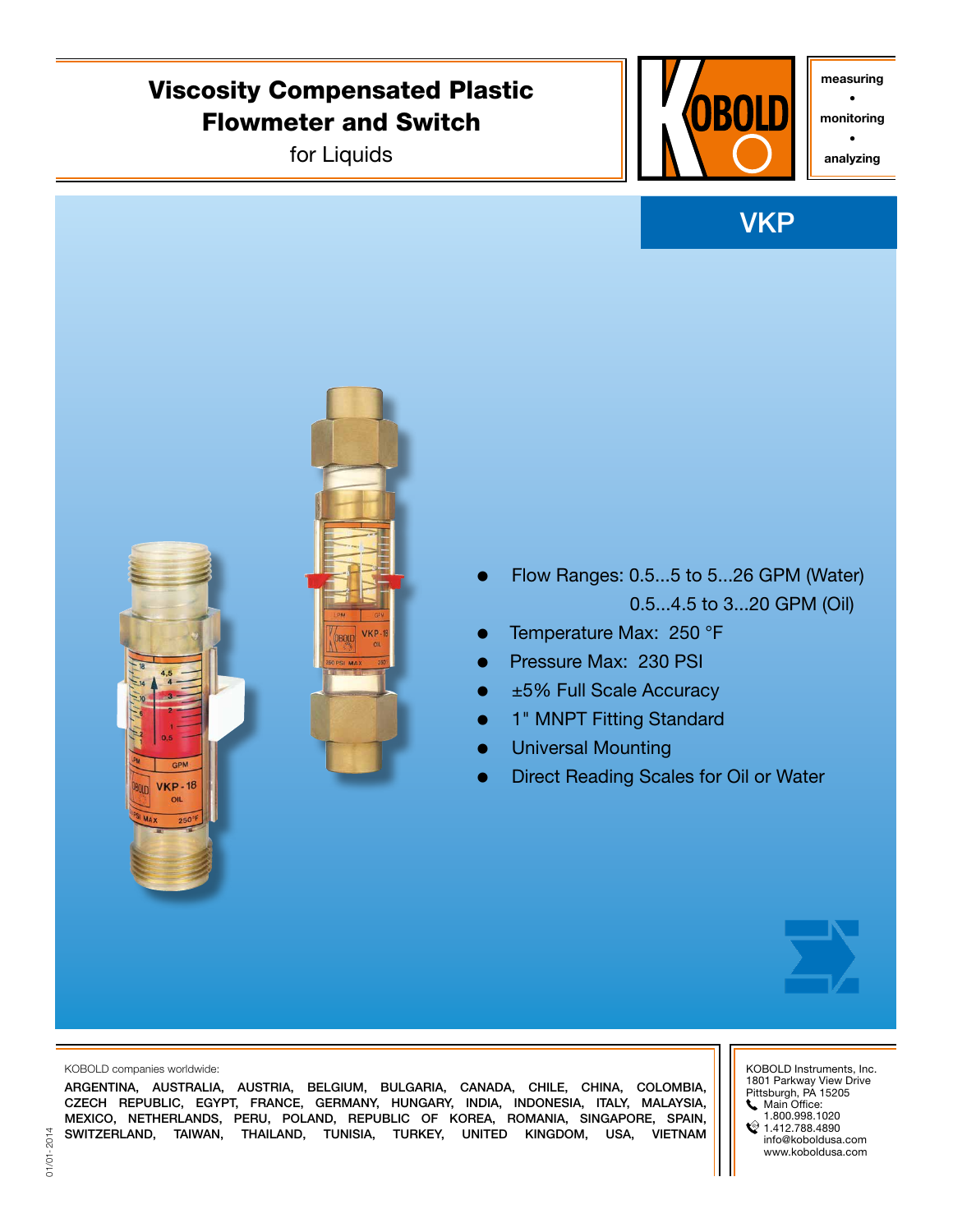## Viscosity Compensated Plastic Flowmeter and Switch

for Liquids



measuring •

monitoring •

analyzing

# **VKP**





KOBOLD companies worldwide:

 $VKP-18$ OIL

ARGENTINA, AUSTRALIA, AUSTRIA, BELGIUM, BULGARIA, CANADA, CHILE, CHINA, COLOMBIA, CZECH REPUBLIC, EGYPT, FRANCE, GERMANY, HUNGARY, INDIA, INDONESIA, ITALY, MALAYSIA, MEXICO, NETHERLANDS, PERU, POLAND, REPUBLIC OF KOREA, ROMANIA, SINGAPORE, SPAIN, SWITZERLAND, TAIWAN, THAILAND, TUNISIA, TURKEY, UNITED KINGDOM, USA, VIETNAM KOBOLD Instruments, Inc. 1801 Parkway View Drive Pittsburgh, PA 15205 Main Office: 1.800.998.1020

 $21.412.788.4890$ info@koboldusa.com www.koboldusa.com